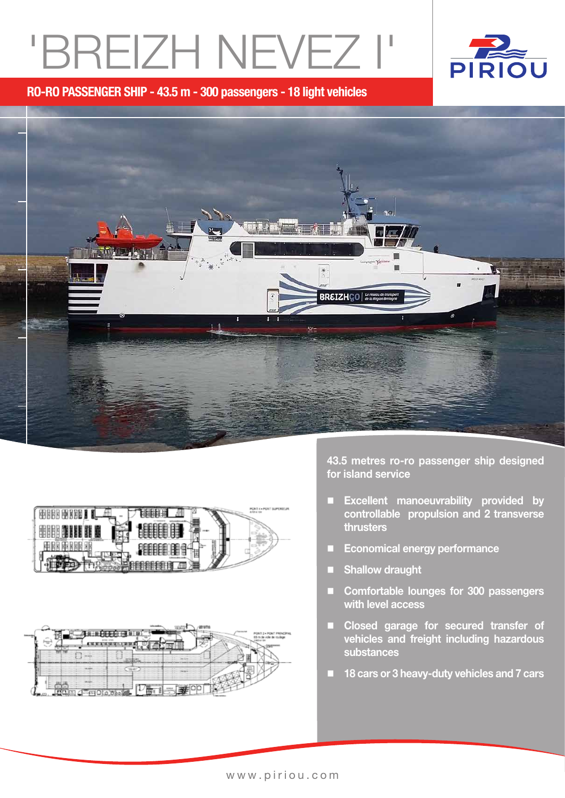# 'BREIZH NEVEZ i'



RO-RO PASSENGER SHIP - 43.5 m - 300 passengers - 18 light vehicles







43.5 metres ro-ro passenger ship designed for island service

- Excellent manoeuvrability provided by controllable propulsion and 2 transverse thrusters
- Economical energy performance
- **Shallow draught**
- Comfortable lounges for 300 passengers with level access
- **Ex Closed garage for secured transfer of** vehicles and freight including hazardous substances
- 18 cars or 3 heavy-duty vehicles and 7 cars